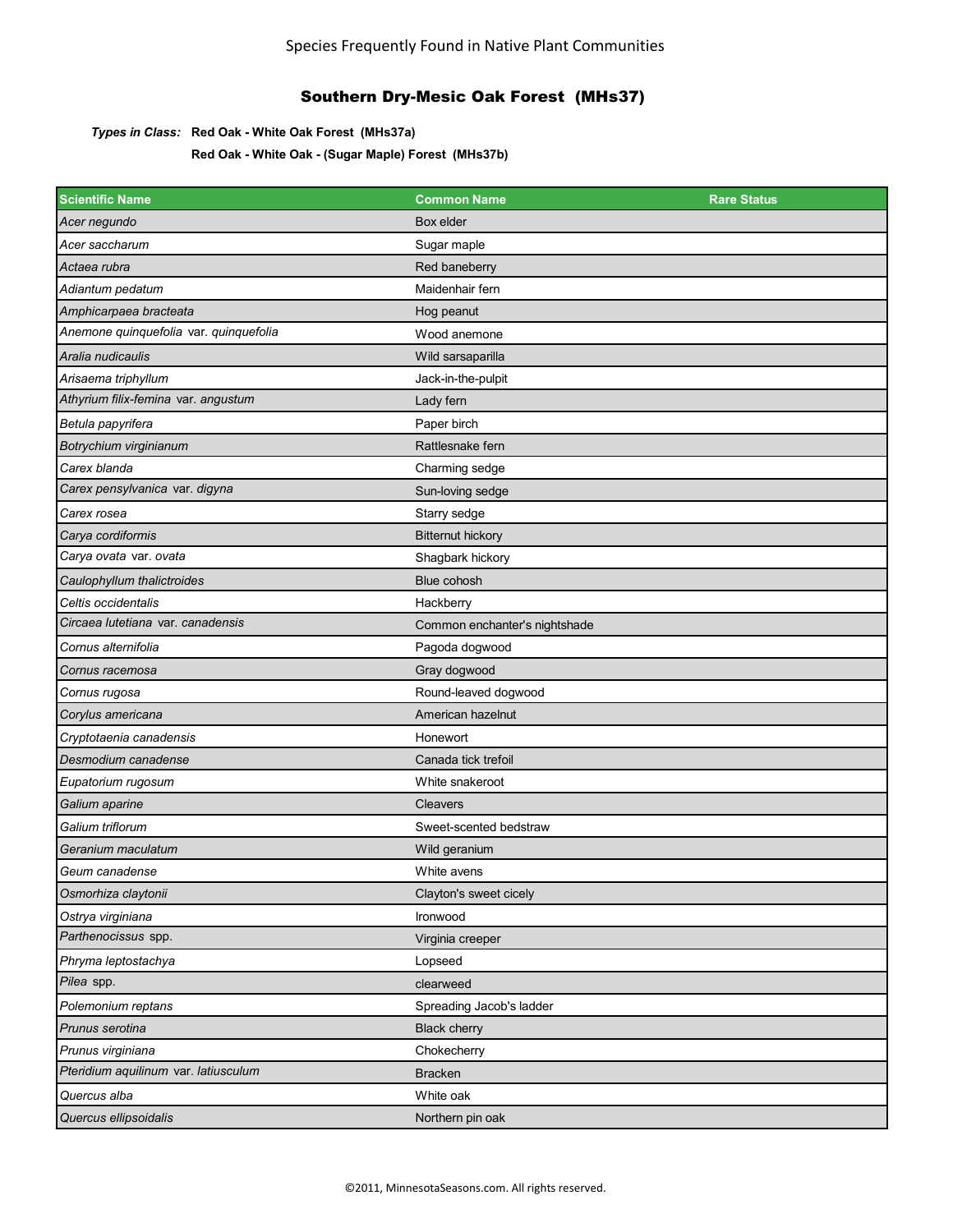#### *Types in Class:* **Red Oak - White Oak Forest (MHs37a)**

**Red Oak - White Oak - (Sugar Maple) Forest (MHs37b)**

| <b>Scientific Name</b>                 | <b>Common Name</b>            | <b>Rare Status</b> |
|----------------------------------------|-------------------------------|--------------------|
| Acer negundo                           | Box elder                     |                    |
| Acer saccharum                         | Sugar maple                   |                    |
| Actaea rubra                           | Red baneberry                 |                    |
| Adiantum pedatum                       | Maidenhair fern               |                    |
| Amphicarpaea bracteata                 | Hog peanut                    |                    |
| Anemone quinquefolia var. quinquefolia | Wood anemone                  |                    |
| Aralia nudicaulis                      | Wild sarsaparilla             |                    |
| Arisaema triphyllum                    | Jack-in-the-pulpit            |                    |
| Athyrium filix-femina var. angustum    | Lady fern                     |                    |
| Betula papyrifera                      | Paper birch                   |                    |
| Botrychium virginianum                 | Rattlesnake fern              |                    |
| Carex blanda                           | Charming sedge                |                    |
| Carex pensylvanica var. digyna         | Sun-loving sedge              |                    |
| Carex rosea                            | Starry sedge                  |                    |
| Carya cordiformis                      | <b>Bitternut hickory</b>      |                    |
| Carya ovata var. ovata                 | Shagbark hickory              |                    |
| Caulophyllum thalictroides             | Blue cohosh                   |                    |
| Celtis occidentalis                    | Hackberry                     |                    |
| Circaea lutetiana var. canadensis      | Common enchanter's nightshade |                    |
| Cornus alternifolia                    | Pagoda dogwood                |                    |
| Cornus racemosa                        | Gray dogwood                  |                    |
| Cornus rugosa                          | Round-leaved dogwood          |                    |
| Corylus americana                      | American hazelnut             |                    |
| Cryptotaenia canadensis                | Honewort                      |                    |
| Desmodium canadense                    | Canada tick trefoil           |                    |
| Eupatorium rugosum                     | White snakeroot               |                    |
| Galium aparine                         | Cleavers                      |                    |
| Galium triflorum                       | Sweet-scented bedstraw        |                    |
| Geranium maculatum                     | Wild geranium                 |                    |
| Geum canadense                         | White avens                   |                    |
| Osmorhiza claytonii                    | Clayton's sweet cicely        |                    |
| Ostrya virginiana                      | Ironwood                      |                    |
| Parthenocissus spp.                    | Virginia creeper              |                    |
| Phryma leptostachya                    | Lopseed                       |                    |
| Pilea spp.                             | clearweed                     |                    |
| Polemonium reptans                     | Spreading Jacob's ladder      |                    |
| Prunus serotina                        | <b>Black cherry</b>           |                    |
| Prunus virginiana                      | Chokecherry                   |                    |
| Pteridium aquilinum var. latiusculum   | <b>Bracken</b>                |                    |
| Quercus alba                           | White oak                     |                    |
| Quercus ellipsoidalis                  | Northern pin oak              |                    |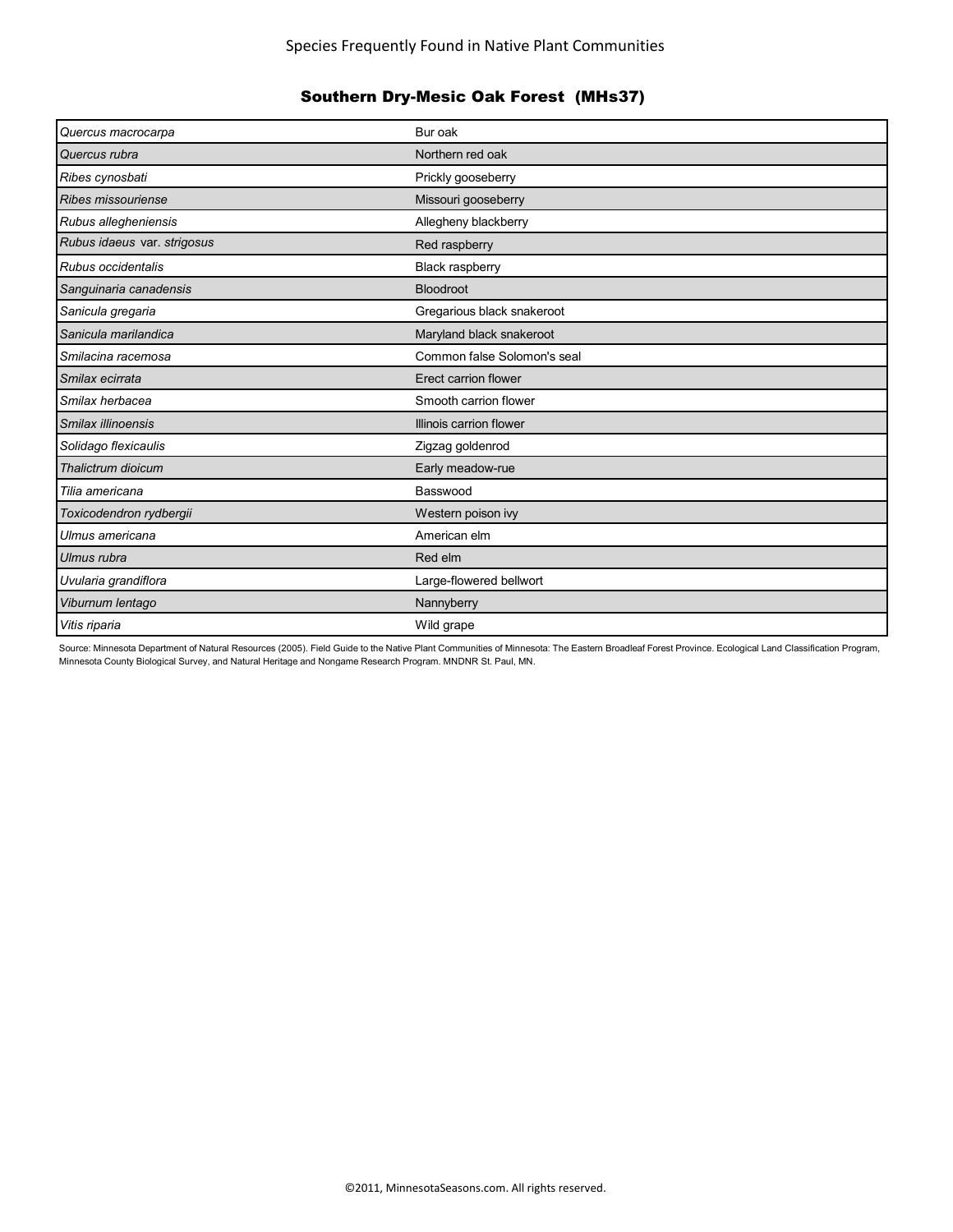| Quercus macrocarpa          | Bur oak                     |
|-----------------------------|-----------------------------|
| Quercus rubra               | Northern red oak            |
| Ribes cynosbati             | Prickly gooseberry          |
| Ribes missouriense          | Missouri gooseberry         |
| Rubus allegheniensis        | Allegheny blackberry        |
| Rubus idaeus var. strigosus | Red raspberry               |
| Rubus occidentalis          | <b>Black raspberry</b>      |
| Sanguinaria canadensis      | <b>Bloodroot</b>            |
| Sanicula gregaria           | Gregarious black snakeroot  |
| Sanicula marilandica        | Maryland black snakeroot    |
| Smilacina racemosa          | Common false Solomon's seal |
| Smilax ecirrata             | Erect carrion flower        |
| Smilax herbacea             | Smooth carrion flower       |
| Smilax illinoensis          | Illinois carrion flower     |
| Solidago flexicaulis        | Zigzag goldenrod            |
| Thalictrum dioicum          | Early meadow-rue            |
| Tilia americana             | Basswood                    |
| Toxicodendron rydbergii     | Western poison ivy          |
| Ulmus americana             | American elm                |
| Ulmus rubra                 | Red elm                     |
| Uvularia grandiflora        | Large-flowered bellwort     |
| Viburnum lentago            | Nannyberry                  |
| Vitis riparia               | Wild grape                  |

Source: Minnesota Department of Natural Resources (2005). Field Guide to the Native Plant Communities of Minnesota: The Eastern Broadleaf Forest Province. Ecological Land Classification Program, Minnesota County Biological Survey, and Natural Heritage and Nongame Research Program. MNDNR St. Paul, MN.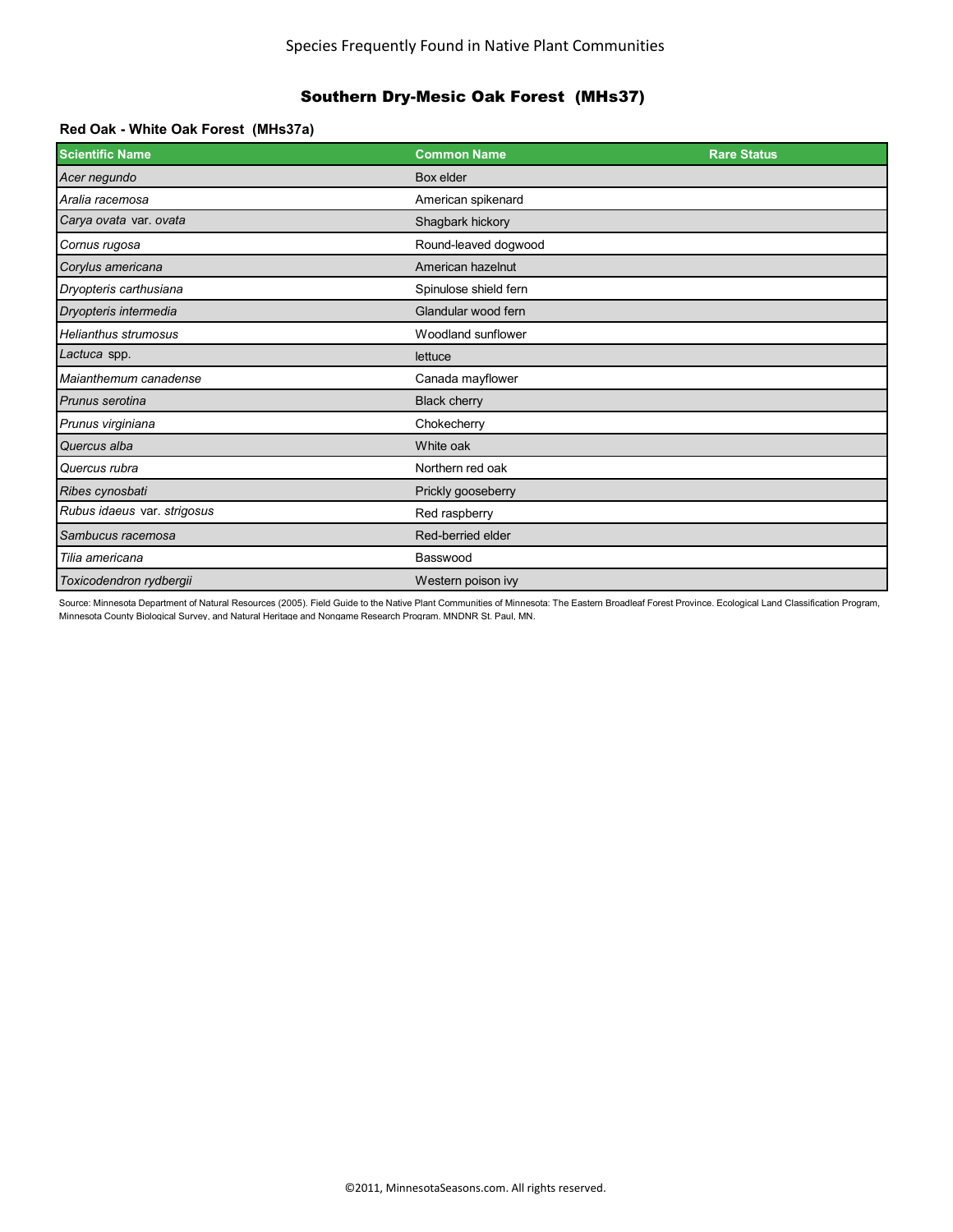#### **Red Oak - White Oak Forest (MHs37a)**

| <b>Scientific Name</b>      | <b>Common Name</b>    | <b>Rare Status</b> |
|-----------------------------|-----------------------|--------------------|
| Acer negundo                | Box elder             |                    |
| Aralia racemosa             | American spikenard    |                    |
| Carya ovata var. ovata      | Shagbark hickory      |                    |
| Cornus rugosa               | Round-leaved dogwood  |                    |
| Corylus americana           | American hazelnut     |                    |
| Dryopteris carthusiana      | Spinulose shield fern |                    |
| Dryopteris intermedia       | Glandular wood fern   |                    |
| <b>Helianthus strumosus</b> | Woodland sunflower    |                    |
| Lactuca spp.                | lettuce               |                    |
| Maianthemum canadense       | Canada mayflower      |                    |
| Prunus serotina             | <b>Black cherry</b>   |                    |
| Prunus virginiana           | Chokecherry           |                    |
| Quercus alba                | White oak             |                    |
| Quercus rubra               | Northern red oak      |                    |
| Ribes cynosbati             | Prickly gooseberry    |                    |
| Rubus idaeus var. strigosus | Red raspberry         |                    |
| Sambucus racemosa           | Red-berried elder     |                    |
| Tilia americana             | Basswood              |                    |
| Toxicodendron rydbergii     | Western poison ivy    |                    |

Source: Minnesota Department of Natural Resources (2005). Field Guide to the Native Plant Communities of Minnesota: The Eastern Broadleaf Forest Province. Ecological Land Classification Program, Minnesota County Biological Survey, and Natural Heritage and Nongame Research Program. MNDNR St. Paul, MN.